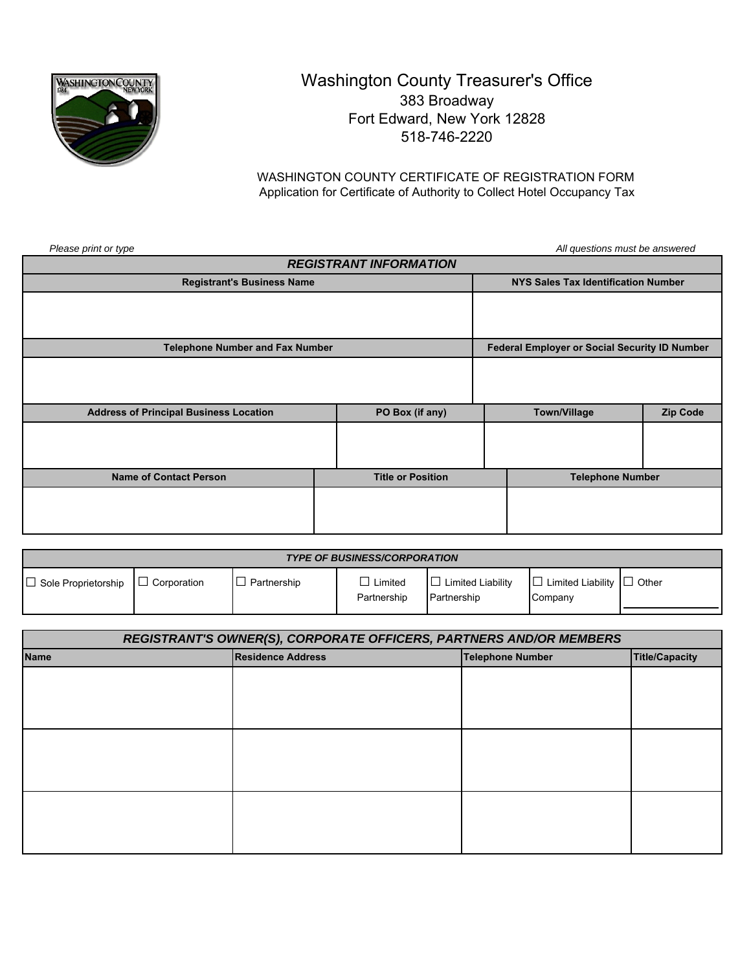

## Washington County Treasurer's Office 383 Broadway Fort Edward, New York 12828 518-746-2220

WASHINGTON COUNTY CERTIFICATE OF REGISTRATION FORM Application for Certificate of Authority to Collect Hotel Occupancy Tax

| Please print or type                          |                          |  | All questions must be answered                |                 |  |
|-----------------------------------------------|--------------------------|--|-----------------------------------------------|-----------------|--|
| <b>REGISTRANT INFORMATION</b>                 |                          |  |                                               |                 |  |
| <b>Registrant's Business Name</b>             |                          |  | NYS Sales Tax Identification Number           |                 |  |
|                                               |                          |  |                                               |                 |  |
|                                               |                          |  |                                               |                 |  |
|                                               |                          |  |                                               |                 |  |
| <b>Telephone Number and Fax Number</b>        |                          |  | Federal Employer or Social Security ID Number |                 |  |
|                                               |                          |  |                                               |                 |  |
|                                               |                          |  |                                               |                 |  |
|                                               |                          |  |                                               |                 |  |
| <b>Address of Principal Business Location</b> | PO Box (if any)          |  | <b>Town/Village</b>                           | <b>Zip Code</b> |  |
|                                               |                          |  |                                               |                 |  |
|                                               |                          |  |                                               |                 |  |
|                                               |                          |  |                                               |                 |  |
| <b>Name of Contact Person</b>                 | <b>Title or Position</b> |  | <b>Telephone Number</b>                       |                 |  |
|                                               |                          |  |                                               |                 |  |
|                                               |                          |  |                                               |                 |  |
|                                               |                          |  |                                               |                 |  |

| <b>TYPE OF BUSINESS/CORPORATION</b> |                    |             |                        |                                         |                                                  |  |
|-------------------------------------|--------------------|-------------|------------------------|-----------------------------------------|--------------------------------------------------|--|
| $\Box$ Sole Proprietorship          | $\Box$ Corporation | Partnership | Limited<br>Partnership | $\Box$ Limited Liability<br>Partnership | $\Box$ Limited Liability $\Box$ Other<br>Company |  |

| REGISTRANT'S OWNER(S), CORPORATE OFFICERS, PARTNERS AND/OR MEMBERS |                          |                         |                       |  |
|--------------------------------------------------------------------|--------------------------|-------------------------|-----------------------|--|
| <b>Name</b>                                                        | <b>Residence Address</b> | <b>Telephone Number</b> | <b>Title/Capacity</b> |  |
|                                                                    |                          |                         |                       |  |
|                                                                    |                          |                         |                       |  |
|                                                                    |                          |                         |                       |  |
|                                                                    |                          |                         |                       |  |
|                                                                    |                          |                         |                       |  |
|                                                                    |                          |                         |                       |  |
|                                                                    |                          |                         |                       |  |
|                                                                    |                          |                         |                       |  |
|                                                                    |                          |                         |                       |  |
|                                                                    |                          |                         |                       |  |